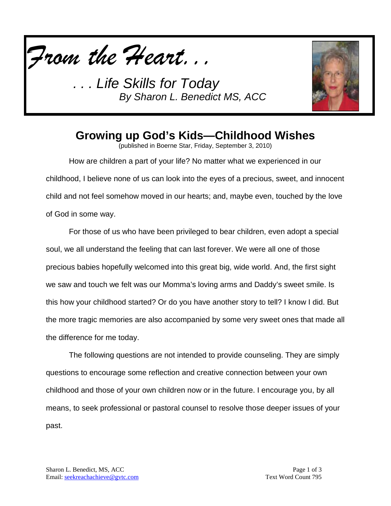

*. . . Life Skills for Today By Sharon L. Benedict MS, ACC*



## **Growing up God's Kids—Childhood Wishes**

(published in Boerne Star, Friday, September 3, 2010)

How are children a part of your life? No matter what we experienced in our childhood, I believe none of us can look into the eyes of a precious, sweet, and innocent child and not feel somehow moved in our hearts; and, maybe even, touched by the love of God in some way.

For those of us who have been privileged to bear children, even adopt a special soul, we all understand the feeling that can last forever. We were all one of those precious babies hopefully welcomed into this great big, wide world. And, the first sight we saw and touch we felt was our Momma's loving arms and Daddy's sweet smile. Is this how your childhood started? Or do you have another story to tell? I know I did. But the more tragic memories are also accompanied by some very sweet ones that made all the difference for me today.

The following questions are not intended to provide counseling. They are simply questions to encourage some reflection and creative connection between your own childhood and those of your own children now or in the future. I encourage you, by all means, to seek professional or pastoral counsel to resolve those deeper issues of your past.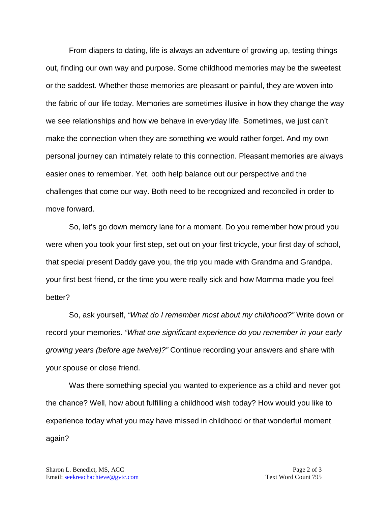From diapers to dating, life is always an adventure of growing up, testing things out, finding our own way and purpose. Some childhood memories may be the sweetest or the saddest. Whether those memories are pleasant or painful, they are woven into the fabric of our life today. Memories are sometimes illusive in how they change the way we see relationships and how we behave in everyday life. Sometimes, we just can't make the connection when they are something we would rather forget. And my own personal journey can intimately relate to this connection. Pleasant memories are always easier ones to remember. Yet, both help balance out our perspective and the challenges that come our way. Both need to be recognized and reconciled in order to move forward.

So, let's go down memory lane for a moment. Do you remember how proud you were when you took your first step, set out on your first tricycle, your first day of school, that special present Daddy gave you, the trip you made with Grandma and Grandpa, your first best friend, or the time you were really sick and how Momma made you feel better?

So, ask yourself, *"What do I remember most about my childhood?"* Write down or record your memories. *"What one significant experience do you remember in your early growing years (before age twelve)?"* Continue recording your answers and share with your spouse or close friend.

Was there something special you wanted to experience as a child and never got the chance? Well, how about fulfilling a childhood wish today? How would you like to experience today what you may have missed in childhood or that wonderful moment again?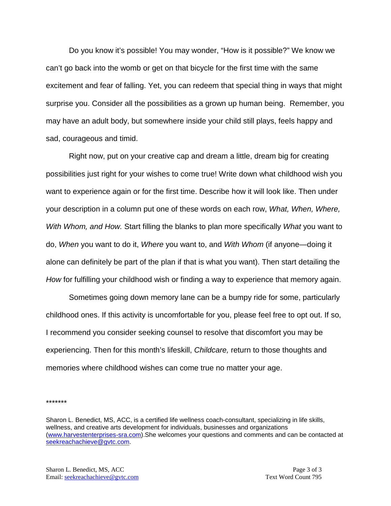Do you know it's possible! You may wonder, "How is it possible?" We know we can't go back into the womb or get on that bicycle for the first time with the same excitement and fear of falling. Yet, you can redeem that special thing in ways that might surprise you. Consider all the possibilities as a grown up human being. Remember, you may have an adult body, but somewhere inside your child still plays, feels happy and sad, courageous and timid.

Right now, put on your creative cap and dream a little, dream big for creating possibilities just right for your wishes to come true! Write down what childhood wish you want to experience again or for the first time. Describe how it will look like. Then under your description in a column put one of these words on each row, *What, When, Where, With Whom, and How.* Start filling the blanks to plan more specifically *What* you want to do, *When* you want to do it, *Where* you want to, and *With Whom* (if anyone—doing it alone can definitely be part of the plan if that is what you want). Then start detailing the *How* for fulfilling your childhood wish or finding a way to experience that memory again.

Sometimes going down memory lane can be a bumpy ride for some, particularly childhood ones. If this activity is uncomfortable for you, please feel free to opt out. If so, I recommend you consider seeking counsel to resolve that discomfort you may be experiencing. Then for this month's lifeskill, *Childcare,* return to those thoughts and memories where childhood wishes can come true no matter your age.

\*\*\*\*\*\*\*

Sharon L. Benedict, MS, ACC, is a certified life wellness coach-consultant, specializing in life skills, wellness, and creative arts development for individuals, businesses and organizations [\(www.harvestenterprises-sra.com\)](http://www.harvestenterprises-sra.com/).She welcomes your questions and comments and can be contacted at [seekreachachieve@gvtc.com.](mailto:seekreachachieve@gvtc.com)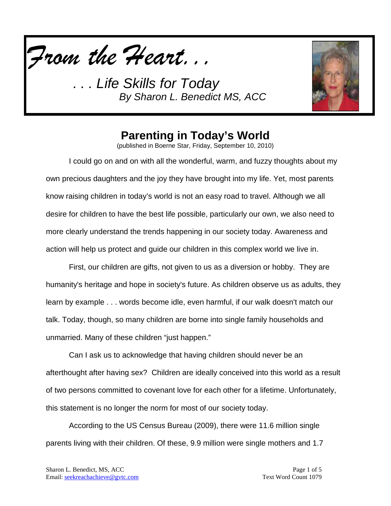

*. . . Life Skills for Today By Sharon L. Benedict MS, ACC*



## **Parenting in Today's World**

(published in Boerne Star, Friday, September 10, 2010)

I could go on and on with all the wonderful, warm, and fuzzy thoughts about my own precious daughters and the joy they have brought into my life. Yet, most parents know raising children in today's world is not an easy road to travel. Although we all desire for children to have the best life possible, particularly our own, we also need to more clearly understand the trends happening in our society today. Awareness and action will help us protect and guide our children in this complex world we live in.

First, our children are gifts, not given to us as a diversion or hobby. They are humanity's heritage and hope in society's future. As children observe us as adults, they learn by example . . . words become idle, even harmful, if our walk doesn't match our talk. Today, though, so many children are borne into single family households and unmarried. Many of these children "just happen."

Can I ask us to acknowledge that having children should never be an afterthought after having sex? Children are ideally conceived into this world as a result of two persons committed to covenant love for each other for a lifetime. Unfortunately, this statement is no longer the norm for most of our society today.

According to the US Census Bureau (2009), there were 11.6 million single parents living with their children. Of these, 9.9 million were single mothers and 1.7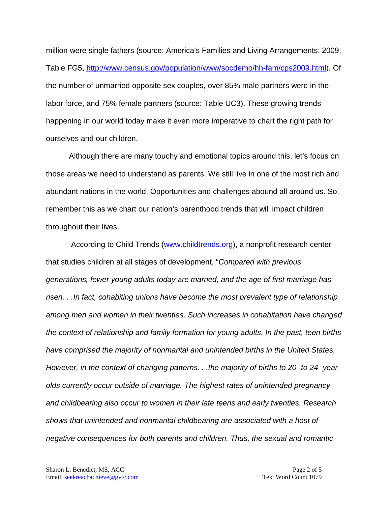million were single fathers (source: America's Families and Living Arrangements: 2009, Table FG5, [http://www.census.gov/population/www/socdemo/hh-fam/cps2009.html\)](http://www.census.gov/population/www/socdemo/hh-fam/cps2009.html). Of the number of unmarried opposite sex couples, over 85% male partners were in the labor force, and 75% female partners (source: Table UC3). These growing trends happening in our world today make it even more imperative to chart the right path for ourselves and our children.

Although there are many touchy and emotional topics around this, let's focus on those areas we need to understand as parents. We still live in one of the most rich and abundant nations in the world. Opportunities and challenges abound all around us. So, remember this as we chart our nation's parenthood trends that will impact children throughout their lives.

According to Child Trends [\(www.childtrends.org\)](http://www.childtrends.org/), a nonprofit research center that studies children at all stages of development, "*Compared with previous generations, fewer young adults today are married, and the age of first marriage has risen. . .In fact, cohabiting unions have become the most prevalent type of relationship among men and women in their twenties. Such increases in cohabitation have changed the context of relationship and family formation for young adults. In the past, teen births have comprised the majority of nonmarital and unintended births in the United States. However, in the context of changing patterns. . .the majority of births to 20- to 24- yearolds currently occur outside of marriage. The highest rates of unintended pregnancy and childbearing also occur to women in their late teens and early twenties. Research shows that unintended and nonmarital childbearing are associated with a host of negative consequences for both parents and children. Thus, the sexual and romantic*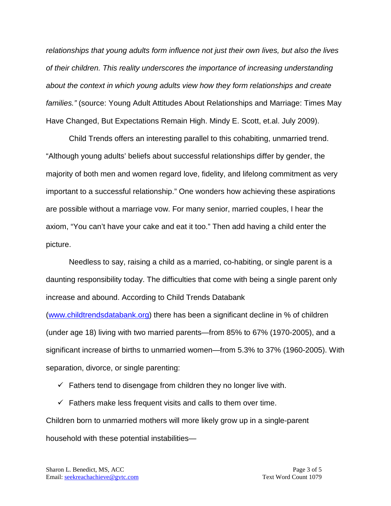*relationships that young adults form influence not just their own lives, but also the lives of their children. This reality underscores the importance of increasing understanding about the context in which young adults view how they form relationships and create families."* (source: Young Adult Attitudes About Relationships and Marriage: Times May Have Changed, But Expectations Remain High. Mindy E. Scott, et.al. July 2009).

Child Trends offers an interesting parallel to this cohabiting, unmarried trend. "Although young adults' beliefs about successful relationships differ by gender, the majority of both men and women regard love, fidelity, and lifelong commitment as very important to a successful relationship." One wonders how achieving these aspirations are possible without a marriage vow. For many senior, married couples, I hear the axiom, "You can't have your cake and eat it too." Then add having a child enter the picture.

Needless to say, raising a child as a married, co-habiting, or single parent is a daunting responsibility today. The difficulties that come with being a single parent only increase and abound. According to Child Trends Databank

[\(www.childtrendsdatabank.org\)](http://www.childtrendsdatabank.org/) there has been a significant decline in % of children (under age 18) living with two married parents—from 85% to 67% (1970-2005), and a significant increase of births to unmarried women—from 5.3% to 37% (1960-2005). With separation, divorce, or single parenting:

 $\checkmark$  Fathers tend to disengage from children they no longer live with.

 $\checkmark$  Fathers make less frequent visits and calls to them over time. Children born to unmarried mothers will more likely grow up in a single-parent household with these potential instabilities—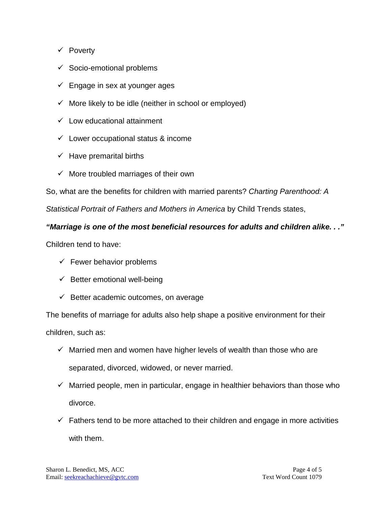- $\checkmark$  Poverty
- $\checkmark$  Socio-emotional problems
- $\checkmark$  Engage in sex at younger ages
- $\checkmark$  More likely to be idle (neither in school or employed)
- $\checkmark$  Low educational attainment
- $\checkmark$  Lower occupational status & income
- $\checkmark$  Have premarital births
- $\checkmark$  More troubled marriages of their own

So, what are the benefits for children with married parents? *Charting Parenthood: A* 

*Statistical Portrait of Fathers and Mothers in America* by Child Trends states,

#### *"Marriage is one of the most beneficial resources for adults and children alike. . ."*

Children tend to have:

- $\checkmark$  Fewer behavior problems
- $\checkmark$  Better emotional well-being
- $\checkmark$  Better academic outcomes, on average

The benefits of marriage for adults also help shape a positive environment for their children, such as:

- $\checkmark$  Married men and women have higher levels of wealth than those who are separated, divorced, widowed, or never married.
- $\checkmark$  Married people, men in particular, engage in healthier behaviors than those who divorce.
- $\checkmark$  Fathers tend to be more attached to their children and engage in more activities with them.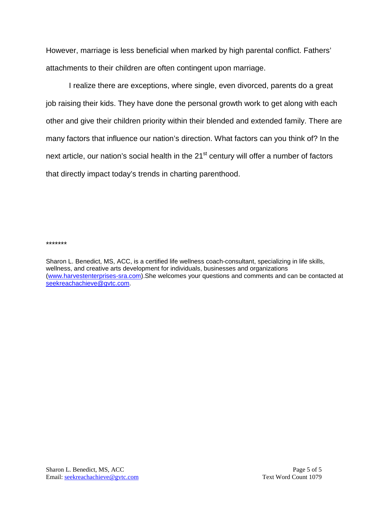However, marriage is less beneficial when marked by high parental conflict. Fathers' attachments to their children are often contingent upon marriage.

I realize there are exceptions, where single, even divorced, parents do a great job raising their kids. They have done the personal growth work to get along with each other and give their children priority within their blended and extended family. There are many factors that influence our nation's direction. What factors can you think of? In the next article, our nation's social health in the 21<sup>st</sup> century will offer a number of factors that directly impact today's trends in charting parenthood.

\*\*\*\*\*\*\*

Sharon L. Benedict, MS, ACC, is a certified life wellness coach-consultant, specializing in life skills, wellness, and creative arts development for individuals, businesses and organizations [\(www.harvestenterprises-sra.com\)](http://www.harvestenterprises-sra.com/).She welcomes your questions and comments and can be contacted at [seekreachachieve@gvtc.com.](mailto:seekreachachieve@gvtc.com)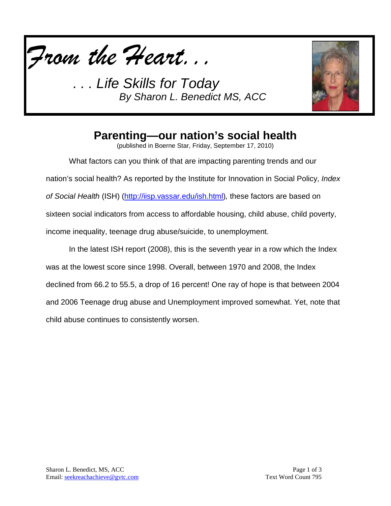

*. . . Life Skills for Today By Sharon L. Benedict MS, ACC*



# **Parenting—our nation's social health**

(published in Boerne Star, Friday, September 17, 2010)

What factors can you think of that are impacting parenting trends and our nation's social health? As reported by the Institute for Innovation in Social Policy, *Index of Social Health* (ISH) [\(http://iisp.vassar.edu/ish.html\)](http://iisp.vassar.edu/ish.html)*,* these factors are based on sixteen social indicators from access to affordable housing, child abuse, child poverty, income inequality, teenage drug abuse/suicide, to unemployment.

In the latest ISH report (2008), this is the seventh year in a row which the Index was at the lowest score since 1998. Overall, between 1970 and 2008, the Index declined from 66.2 to 55.5, a drop of 16 percent! One ray of hope is that between 2004 and 2006 Teenage drug abuse and Unemployment improved somewhat. Yet, note that child abuse continues to consistently worsen.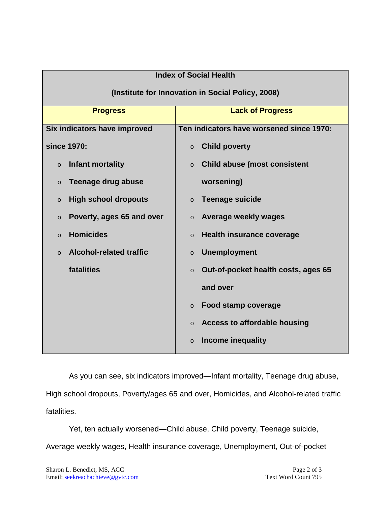| <b>Index of Social Health</b>                     |                                                |
|---------------------------------------------------|------------------------------------------------|
| (Institute for Innovation in Social Policy, 2008) |                                                |
| <b>Progress</b>                                   | <b>Lack of Progress</b>                        |
| Six indicators have improved                      | Ten indicators have worsened since 1970:       |
| since 1970:                                       | <b>Child poverty</b><br>$\circ$                |
| Infant mortality<br>$\circ$                       | <b>Child abuse (most consistent</b><br>$\circ$ |
| <b>Teenage drug abuse</b><br>$\circ$              | worsening)                                     |
| <b>High school dropouts</b><br>$\circ$            | <b>Teenage suicide</b><br>$\circ$              |
| Poverty, ages 65 and over<br>$\circ$              | Average weekly wages<br>$\circ$                |
| <b>Homicides</b><br>$\circ$                       | <b>Health insurance coverage</b><br>$\circ$    |
| <b>Alcohol-related traffic</b><br>$\circ$         | <b>Unemployment</b><br>$\circ$                 |
| fatalities                                        | Out-of-pocket health costs, ages 65<br>$\circ$ |
|                                                   | and over                                       |
|                                                   | <b>Food stamp coverage</b><br>$\circ$          |
|                                                   | <b>Access to affordable housing</b><br>$\circ$ |
|                                                   | Income inequality<br>$\circ$                   |

As you can see, six indicators improved—Infant mortality, Teenage drug abuse, High school dropouts, Poverty/ages 65 and over, Homicides, and Alcohol-related traffic fatalities.

Yet, ten actually worsened—Child abuse, Child poverty, Teenage suicide, Average weekly wages, Health insurance coverage, Unemployment, Out-of-pocket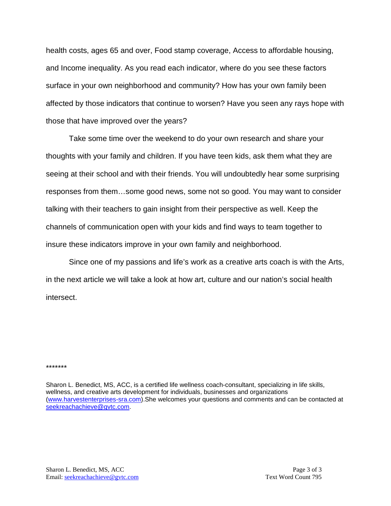health costs, ages 65 and over, Food stamp coverage, Access to affordable housing, and Income inequality. As you read each indicator, where do you see these factors surface in your own neighborhood and community? How has your own family been affected by those indicators that continue to worsen? Have you seen any rays hope with those that have improved over the years?

Take some time over the weekend to do your own research and share your thoughts with your family and children. If you have teen kids, ask them what they are seeing at their school and with their friends. You will undoubtedly hear some surprising responses from them…some good news, some not so good. You may want to consider talking with their teachers to gain insight from their perspective as well. Keep the channels of communication open with your kids and find ways to team together to insure these indicators improve in your own family and neighborhood.

Since one of my passions and life's work as a creative arts coach is with the Arts, in the next article we will take a look at how art, culture and our nation's social health intersect.

#### \*\*\*\*\*\*\*

Sharon L. Benedict, MS, ACC, is a certified life wellness coach-consultant, specializing in life skills, wellness, and creative arts development for individuals, businesses and organizations [\(www.harvestenterprises-sra.com\)](http://www.harvestenterprises-sra.com/).She welcomes your questions and comments and can be contacted at [seekreachachieve@gvtc.com.](mailto:seekreachachieve@gvtc.com)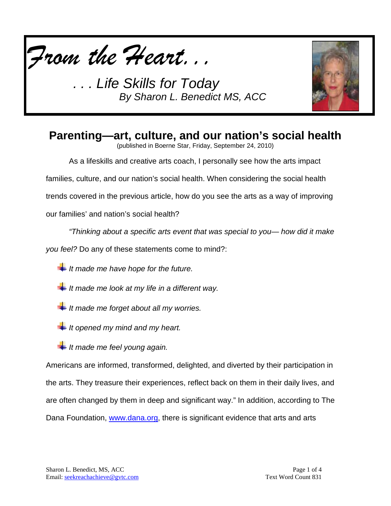

. Life Skills for Today *By Sharon L. Benedict MS, ACC*



#### **Parenting—art, culture, and our nation's social health**

(published in Boerne Star, Friday, September 24, 2010)

As a lifeskills and creative arts coach, I personally see how the arts impact

families, culture, and our nation's social health. When considering the social health

trends covered in the previous article, how do you see the arts as a way of improving

our families' and nation's social health?

*"Thinking about a specific arts event that was special to you— how did it make* 

*you feel?* Do any of these statements come to mind?:

- *It made me have hope for the future.*
- *It made me look at my life in a different way.*
- *It made me forget about all my worries.*
- *It opened my mind and my heart.*
- *It made me feel young again.*

Americans are informed, transformed, delighted, and diverted by their participation in the arts. They treasure their experiences, reflect back on them in their daily lives, and are often changed by them in deep and significant way." In addition, according to The Dana Foundation, [www.dana.org,](http://www.dana.org/) there is significant evidence that arts and arts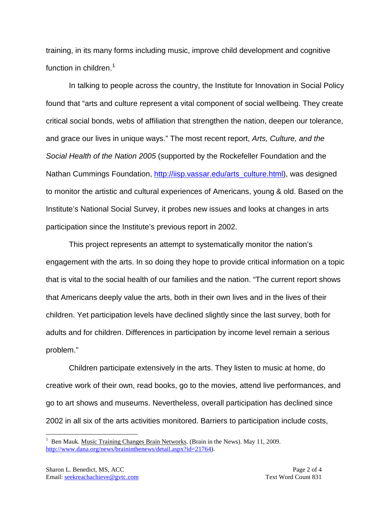training, in its many forms including music, improve child development and cognitive function in children.<sup>[1](#page-12-0)</sup>

In talking to people across the country, the Institute for Innovation in Social Policy found that "arts and culture represent a vital component of social wellbeing. They create critical social bonds, webs of affiliation that strengthen the nation, deepen our tolerance, and grace our lives in unique ways." The most recent report, *Arts, Culture, and the Social Health of the Nation 2005* (supported by the Rockefeller Foundation and the Nathan Cummings Foundation, [http://iisp.vassar.edu/arts\\_culture.html\)](http://iisp.vassar.edu/arts_culture.html), was designed to monitor the artistic and cultural experiences of Americans, young & old. Based on the Institute's National Social Survey, it probes new issues and looks at changes in arts participation since the Institute's previous report in 2002.

This project represents an attempt to systematically monitor the nation's engagement with the arts. In so doing they hope to provide critical information on a topic that is vital to the social health of our families and the nation. "The current report shows that Americans deeply value the arts, both in their own lives and in the lives of their children. Yet participation levels have declined slightly since the last survey, both for adults and for children. Differences in participation by income level remain a serious problem."

Children participate extensively in the arts. They listen to music at home, do creative work of their own, read books, go to the movies, attend live performances, and go to art shows and museums. Nevertheless, overall participation has declined since 2002 in all six of the arts activities monitored. Barriers to participation include costs,

<span id="page-12-0"></span><sup>&</sup>lt;sup>1</sup> Ben Mauk. Music Training Changes Brain Networks. (Brain in the News). May 11, 2009. [http://www.dana.org/news/braininthenews/detail.aspx?id=21764\)](http://www.dana.org/news/braininthenews/detail.aspx?id=21764).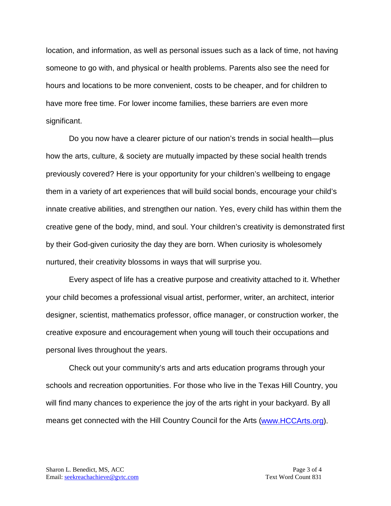location, and information, as well as personal issues such as a lack of time, not having someone to go with, and physical or health problems. Parents also see the need for hours and locations to be more convenient, costs to be cheaper, and for children to have more free time. For lower income families, these barriers are even more significant.

Do you now have a clearer picture of our nation's trends in social health—plus how the arts, culture, & society are mutually impacted by these social health trends previously covered? Here is your opportunity for your children's wellbeing to engage them in a variety of art experiences that will build social bonds, encourage your child's innate creative abilities, and strengthen our nation. Yes, every child has within them the creative gene of the body, mind, and soul. Your children's creativity is demonstrated first by their God-given curiosity the day they are born. When curiosity is wholesomely nurtured, their creativity blossoms in ways that will surprise you.

Every aspect of life has a creative purpose and creativity attached to it. Whether your child becomes a professional visual artist, performer, writer, an architect, interior designer, scientist, mathematics professor, office manager, or construction worker, the creative exposure and encouragement when young will touch their occupations and personal lives throughout the years.

Check out your community's arts and arts education programs through your schools and recreation opportunities. For those who live in the Texas Hill Country, you will find many chances to experience the joy of the arts right in your backyard. By all means get connected with the Hill Country Council for the Arts [\(www.HCCArts.org\)](http://www.hccarts.org/).